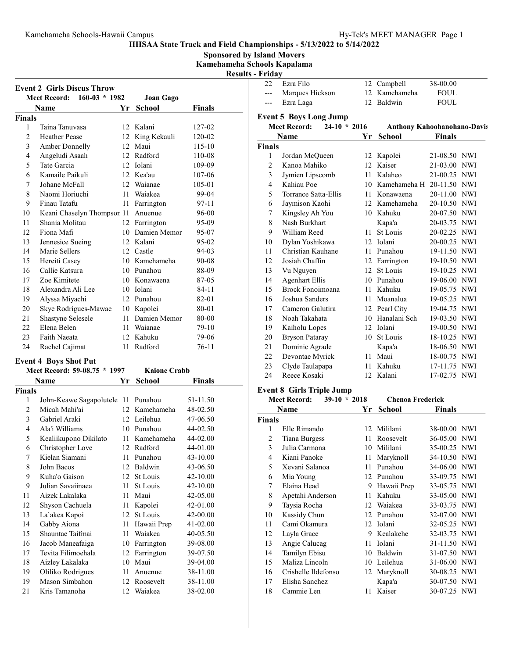Sponsored by Island Movers

Kamehameha Schools Kapalama  $R_{\rm B}$  - Fig.

| - Results |  | r rıgav |  |
|-----------|--|---------|--|
|           |  |         |  |

|        | <b>Event 2 Girls Discus Throw</b><br>$160-03 * 1982$<br><b>Meet Record:</b> |    | Joan Gago       |               |
|--------|-----------------------------------------------------------------------------|----|-----------------|---------------|
|        | Name                                                                        | Yr | <b>School</b>   | <b>Finals</b> |
| Finals |                                                                             |    |                 |               |
| 1      | Taina Tanuvasa                                                              |    | 12 Kalani       | 127-02        |
| 2      | <b>Heather Pease</b>                                                        |    | 12 King Kekauli | 120-02        |
| 3      | Amber Donnelly                                                              |    | 12 Maui         | 115-10        |
| 4      | Angeludi Asaah                                                              |    | 12 Radford      | 110-08        |
| 5      | Tate Garcia                                                                 | 12 | Iolani          | 109-09        |
| 6      | Kamaile Paikuli                                                             |    | 12 Kea'au       | 107-06        |
| 7      | Johane McFall                                                               |    | 12 Waianae      | 105-01        |
| 8      | Naomi Horiuchi                                                              | 11 | Waiakea         | 99-04         |
| 9      | Finau Tatafu                                                                | 11 | Farrington      | 97-11         |
| 10     | Keani Chaselyn Thompsor 11                                                  |    | Anuenue         | 96-00         |
| 11     | Shania Molitau                                                              | 12 | Farrington      | 95-09         |
| 12     | Fiona Mafi                                                                  |    | 10 Damien Memor | 95-07         |
| 13     | Jennesice Sueing                                                            |    | 12 Kalani       | 95-02         |
| 14     | Marie Sellers                                                               |    | 12 Castle       | 94-03         |
| 15     | Hereiti Casey                                                               |    | 10 Kamehameha   | 90-08         |
| 16     | Callie Katsura                                                              |    | 10 Punahou      | 88-09         |
| 17     | Zoe Kimitete                                                                |    | 10 Konawaena    | 87-05         |
| 18     | Alexandra Ali Lee                                                           |    | 10 Iolani       | $84 - 11$     |
| 19     | Alyssa Miyachi                                                              |    | 12 Punahou      | 82-01         |
| 20     | Skye Rodrigues-Mawae                                                        |    | 10 Kapolei      | 80-01         |
| 21     | Shastyne Selesele                                                           |    | 11 Damien Memor | 80-00         |
| 22     | Elena Belen                                                                 |    | 11 Waianae      | 79-10         |
| 23     | Faith Naeata                                                                |    | 12 Kahuku       | 79-06         |
| 24     | Rachel Cajimat                                                              | 11 | Radford         | $76-11$       |

# Event 4 Boys Shot Put

|               | Meet Record: 59-08.75 * 1997 |                  | <b>Kaione Crabb</b> |          |
|---------------|------------------------------|------------------|---------------------|----------|
|               | Name                         | Yr               | School              | Finals   |
| <b>Finals</b> |                              |                  |                     |          |
| 1             | John-Keawe Sagapolutele 11   |                  | Punahou             | 51-11.50 |
| 2             | Micah Mahi'ai                | 12 <sub>1</sub>  | Kamehameha          | 48-02.50 |
| 3             | Gabriel Araki                |                  | 12 Leilehua         | 47-06.50 |
| 4             | Ala'i Williams               | 10               | Punahou             | 44-02.50 |
| 5             | Kealiikupono Dikilato        | 11               | Kamehameha          | 44-02.00 |
| 6             | Christopher Love             | 12               | Radford             | 44-01.00 |
| 7             | Kielan Siamani               | 11               | Punahou             | 43-10.00 |
| 8             | John Bacos                   | 12               | Baldwin             | 43-06.50 |
| 9             | Kuha'o Gaison                | 12 <sup>12</sup> | St Louis            | 42-10.00 |
| 9             | Julian Savaiinaea            | 11               | St Louis            | 42-10.00 |
| 11            | Aizek Lakalaka               | 11               | Maui                | 42-05.00 |
| 12            | Shyson Cachuela              | 11               | Kapolei             | 42-01.00 |
| 13            | La'akea Kapoi                | 12               | St Louis            | 42-00.00 |
| 14            | Gabby Aiona                  | 11               | Hawaii Prep         | 41-02.00 |
| 15            | Shauntae Taifmai             | 11               | Waiakea             | 40-05.50 |
| 16            | Jacob Maneafaiga             | 10               | Farrington          | 39-08.00 |
| 17            | Tevita Filimoehala           | 12               | Farrington          | 39-07.50 |
| 18            | Aizley Lakalaka              | 10               | Maui                | 39-04.00 |
| 19            | Oliliko Rodrigues            | 11               | Anuenue             | 38-11.00 |
| 19            | Mason Simbahon               | 12               | Roosevelt           | 38-11.00 |
| 21            | Kris Tamanoha                |                  | 12 Waiakea          | 38-02.00 |

| 22             | Ezra Filo                             |    | 12 Campbell                        | 38-00.00      |            |
|----------------|---------------------------------------|----|------------------------------------|---------------|------------|
| $---$          | Marques Hickson                       | 12 | Kamehameha                         | <b>FOUL</b>   |            |
| $---$          | Ezra Laga                             | 12 | Baldwin                            | <b>FOUL</b>   |            |
|                | <b>Event 5 Boys Long Jump</b>         |    |                                    |               |            |
|                | <b>Meet Record:</b><br>$24-10 * 2016$ |    | <b>Anthony Kahoohanohano-Davis</b> |               |            |
|                | Name                                  | Yr | School                             | <b>Finals</b> |            |
| Finals         |                                       |    |                                    |               |            |
| 1              | Jordan McQueen                        |    | 12 Kapolei                         | 21-08.50 NWI  |            |
| $\overline{c}$ | Kanoa Mahiko                          | 12 | Kaiser                             | 21-03.00 NWI  |            |
| 3              | Jymien Lipscomb                       | 11 | Kalaheo                            | 21-00.25      | <b>NWI</b> |
| $\overline{4}$ | Kahiau Poe                            | 10 | Kamehameha H                       | 20-11.50      | <b>NWI</b> |
| 5              | Torrance Satta-Ellis                  | 11 | Konawaena                          | 20-11.00 NWI  |            |
| 6              | Jaymison Kaohi                        | 12 | Kamehameha                         | 20-10.50 NWI  |            |
| 7              | Kingsley Ah You                       | 10 | Kahuku                             | 20-07.50 NWI  |            |
| 8              | Nash Burkhart                         |    | Kapa'a                             | 20-03.75 NWI  |            |
| 9              | William Reed                          | 11 | <b>St Louis</b>                    | 20-02.25      | <b>NWI</b> |
| 10             | Dylan Yoshikawa                       | 12 | Iolani                             | 20-00.25      | <b>NWI</b> |
| 11             | Christian Kauhane                     | 11 | Punahou                            | 19-11.50 NWI  |            |
| 12             | Josiah Chaffin                        | 12 | Farrington                         | 19-10.50 NWI  |            |
| 13             | Vu Nguyen                             | 12 | St Louis                           | 19-10.25 NWI  |            |
| 14             | <b>Agenhart Ellis</b>                 | 10 | Punahou                            | 19-06.00 NWI  |            |
| 15             | Brock Fonoimoana                      | 11 | Kahuku                             | 19-05.75      | <b>NWI</b> |
| 16             | Joshua Sanders                        | 11 | Moanalua                           | 19-05.25      | <b>NWI</b> |
| 17             | Cameron Galutira                      |    | 12 Pearl City                      | 19-04.75 NWI  |            |
| 18             | Noah Takahata                         | 10 | Hanalani Sch                       | 19-03.50      | <b>NWI</b> |
| 19             | Kaiholu Lopes                         | 12 | Iolani                             | 19-00.50 NWI  |            |
| 20             | <b>Bryson Pataray</b>                 | 10 | St Louis                           | 18-10.25 NWI  |            |
| 21             | Dominic Agrade                        |    | Kapa'a                             | 18-06.50      | <b>NWI</b> |
| 22             | Devontae Myrick                       | 11 | Maui                               | 18-00.75 NWI  |            |
| 23             | Clyde Taulapapa                       | 11 | Kahuku                             | 17-11.75      | <b>NWI</b> |
| 24             | Reece Kosaki                          | 12 | Kalani                             | 17-02.75      | <b>NWI</b> |

### Event 8 Girls Triple Jump

| $39-10 * 2018$<br><b>Meet Record:</b> |                      |     | <b>Chenoa Frederick</b> |               |            |
|---------------------------------------|----------------------|-----|-------------------------|---------------|------------|
|                                       | Name                 | Yr  | <b>School</b>           | <b>Finals</b> |            |
| Finals                                |                      |     |                         |               |            |
| 1                                     | Elle Rimando         | 12  | Mililani                | 38-00.00      | <b>NWI</b> |
| $\overline{c}$                        | <b>Tiana Burgess</b> | 11  | Roosevelt               | 36-05.00      | <b>NWI</b> |
| 3                                     | Julia Carmona        | 10  | Mililani                | 35-00.25 NWI  |            |
| 4                                     | Kiani Panoke         | 11  | Maryknoll               | 34-10.50 NWI  |            |
| 5                                     | Xevani Salanoa       | 11  | Punahou                 | 34-06.00      | <b>NWI</b> |
| 6                                     | Mia Young            | 12  | Punahou                 | 33-09.75      | <b>NWI</b> |
| 7                                     | Elaina Head          | 9   | Hawaii Prep             | 33-05.75      | NWI        |
| 8                                     | Apetahi Anderson     | 11  | Kahuku                  | 33-05.00 NWI  |            |
| 9                                     | Taysia Rocha         |     | 12 Waiakea              | 33-03.75 NWI  |            |
| 10                                    | Kassidy Chun         | 12  | Punahou                 | 32-07.00      | <b>NWI</b> |
| 11                                    | Cami Okamura         | 12  | <b>Iolani</b>           | 32-05.25      | NWI        |
| 12                                    | Layla Grace          | 9   | Kealakehe               | 32-03.75 NWI  |            |
| 13                                    | Angie Calucag        | 11  | Iolani                  | 31-11.50      | NWI        |
| 14                                    | Tamilyn Ebisu        |     | 10 Baldwin              | 31-07.50 NWI  |            |
| 15                                    | Maliza Lincoln       | 10  | Leilehua                | 31-06.00      | <b>NWI</b> |
| 16                                    | Crishelle Ildefonso  | 12  | Maryknoll               | 30-08.25      | NWI        |
| 17                                    | Elisha Sanchez       |     | Kapa'a                  | 30-07.50      | NWI        |
| 18                                    | Cammie Len           | 11- | Kaiser                  | 30-07.25 NWI  |            |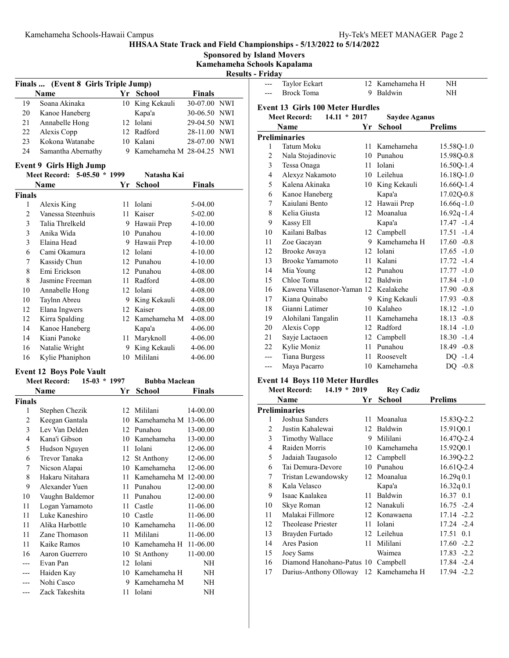#### Sponsored by Island Movers Kamehameha Schools Kapalama Results - Friday Finals ... (Event 8 Girls Triple Jump) Name **Finals** Yr School **Finals** 19 Soana Akinaka 10 King Kekauli 30-07.00 NWI 20 Kanoe Haneberg Kapa'a 30-06.50 NWI 21 Annabelle Hong 12 Iolani 29-04.50 NWI 22 Alexis Copp 12 Radford 28-11.00 NWI<br>23 Kokona Watanabe 10 Kalani 28-07.00 NWI 23 28-07.00 NWI Kokona Watanabe 10 Kalani 24 Samantha Abernathy 9 Kamehameha M 28-04.25 NWI Event 9 Girls High Jump Meet Record: 5-05.50 \* 1999 Natasha Kai Name **Finals School Finals** Finals 1 5-04.00 Alexis King 11 Iolani 2 Vanessa Steenhuis 11 Kaiser 5-02.00 3 Talia Threlkeld 9 Hawaii Prep 4-10.00 3 4-10.00 Anika Wida 10 Punahou 3 Elaina Head 9 Hawaii Prep 4-10.00 6 4-10.00 Cami Okamura 12 Iolani 7 Kassidy Chun 12 Punahou 4-10.00<br>8 Emi Erickson 12 Punahou 4-08.00 8 4-08.00 Emi Erickson 12 Punahou 8 Jasmine Freeman 11 Radford 4-08.00 10 4-08.00 Annabelle Hong 12 Iolani 10 Taylnn Abreu 9 King Kekauli 4-08.00 12 4-08.00 Elana Ingwers 12 Kaiser 12 12 12 12 12 12 12 12 12 12 13 14 14 16.00<br>14 14 15 16 16.00 14 16.00 Kanoe Haneberg Kapa'a 4-06.00 14 4-06.00 Kiani Panoke 11 Maryknoll 16 Natalie Wright 9 King Kekauli 4-06.00 16 4-06.00 Kylie Phaniphon 10 Mililani Event 12 Boys Pole Vault Meet Record: 15-03 \* 1997 Bubba Maclean Name **Finals Property Property Property Property Property Property Property Property Property Property Property Property Property Property Property Property Property Property Property** Finals 1 Stephen Chezik 12 Mililani 14-00.00 2 Keegan Gantala 10 Kamehameha M 13-06.00 3 13-00.00 Lev Van Delden 12 Punahou 4 13-00.00 Kana'i Gibson 10 Kamehameha 5 12-06.00 Hudson Nguyen 11 Iolani 6 12-06.00 Trevor Tanaka 12 St Anthony 7 Nicson Alapai 10 Kamehameha 12-06.00<br>8 Hakaru Nitahara 11 Kamehameha M 12-00.00 8 Hakaru Nitahara 11 Kamehameha M 12-00.00 9 Alexander Yuen 11 Punahou 12-00.00 10 12-00.00 Vaughn Baldemor 11 Punahou 11 Logan Yamamoto 11 Castle 11-06.00 11 Luke Kaneshiro 10 Castle 11-06.00 11 Alika Harbottle 10 Kamehameha 11-06.00 11 Zane Thomason 11 Mililani 11-06.00 11 Kaike Ramos 10 Kamehameha H 11-06.00 16 11-00.00 Aaron Guerrero 10 St Anthony --- Evan Pan 12 Iolani NH --- Haiden Kay 10 Kamehameha H NH --- Nohi Casco 9 Kamehameha M NH Zack Takeshita 11 Iolani NH Taylor Eckart 12 Kamehameha H NH --- Brock Toma 9 Baldwin NH Event 13 Girls 100 Meter Hurdles Meet Record: 14.11 \* 2017 Saydee Aganus Name **Prelims Prelims** Preliminaries 1 Tatum Moku 11 Kamehameha 15.58Q-1.0 2 15.98Q-0.8 Nala Stojadinovic 10 Punahou 3 16.50Q-1.4 Tessa Onaga 11 Iolani 4 16.18Q-1.0 Alexyz Nakamoto 10 Leilehua 5 Kalena Akinaka 10 King Kekauli 16.660-1.4 6 17.02Q-0.8 Kanoe Haneberg Kapa'a 7 Kaiulani Bento 12 Hawaii Prep 16.66q-1.0 8 Kelia Giusta 12 Moanalua 16.92q-1.4 9 17.47 -1.4 Kassy Ell Kapa'a 10 17.51 -1.4 Kailani Balbas 12 Campbell 11 Zoe Gacayan 9 Kamehameha H 17.60 -0.8 12 17.65 -1.0 Brooke Awaya 12 Iolani 13 17.72 -1.4 Brooke Yamamoto 11 Kalani 14 17.77 -1.0 Mia Young 12 Punahou 15 17.84 -1.0 Chloe Toma 12 Baldwin 16 Kawena Villasenor-Yaman 12 Kealakehe 17.90 -0.8 17 Kiana Quinabo 9 King Kekauli 17.93 -0.8 18 18.12 -1.0 Gianni Latimer 10 Kalaheo 19 Alohilani Tangalin 11 Kamehameha 18.13 -0.8 20 Alexis Copp 12 Radford 18.14 -1.0 21 Sayje Lactaoen 12 Campbell 18.30 -1.4 22 Kylie Moniz 11 Punahou 18.49 -0.8 --- Tiana Burgess 11 Roosevelt DQ -1.4 --- Maya Pacarro 10 Kamehameha DQ -0.8 Event 14 Boys 110 Meter Hurdles Meet Record: 14.19 \* 2019 Rey Cadiz Name **Prelims Prelims** Preliminaries 1 15.83Q-2.2 Joshua Sanders 11 Moanalua 2 Justin Kahalewai 12 Baldwin 15.91Q0.1 3 16.47Q-2.4 Timothy Wallace 9 Mililani 4 15.92Q0.1 Raiden Morris 10 Kamehameha 5 16.39Q-2.2 Jadaiah Taugasolo 12 Campbell 6 16.61Q-2.4 Tai Demura-Devore 10 Punahou 7 16.29q 0.1 Tristan Lewandowsky 12 Moanalua 8 16.32q 0.1 Kala Velasco Kapa'a 9 16.37 0.1 Isaac Kaalakea 11 Baldwin 10 Skye Roman 12 Nanakuli 16.75 -2.4 11 Malakai Fillmore 12 Konawaena 17.14 -2.2 12 17.24 -2.4 Theolease Priester 11 Iolani 13 17.51 0.1 Brayden Furtado 12 Leilehua 14 Ares Pasion 11 Mililani 17.60 -2.2 15 17.83 -2.2 Joey Sams Waimea 16 Diamond Hanohano-Patus 10 Campbell 17.84 -2.4 17 17.94 -2.2 Darius-Anthony Olloway 12 Kamehameha H

HHSAA State Track and Field Championships - 5/13/2022 to 5/14/2022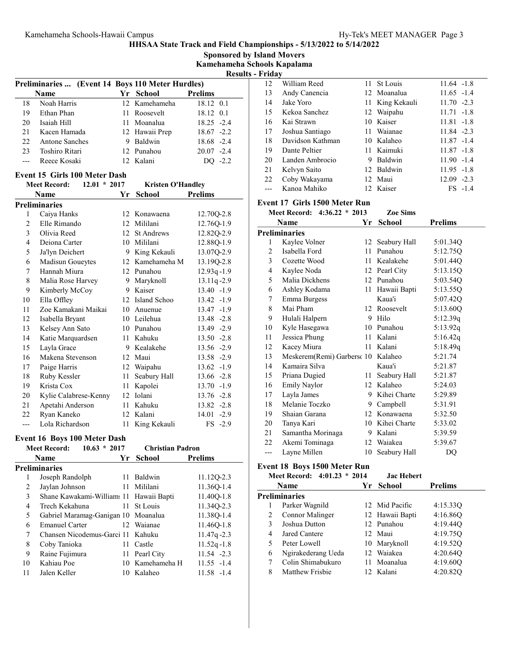Sponsored by Island Movers

Kamehameha Schools Kapalama ilts - Friday

|     |                                                  |                |                | KASIL  |
|-----|--------------------------------------------------|----------------|----------------|--------|
|     | Preliminaries  (Event 14 Boys 110 Meter Hurdles) |                |                |        |
|     | <b>Name</b>                                      | Yr School      | <b>Prelims</b> |        |
| 18  | Noah Harris                                      | 12 Kamehameha  | 18.12 0.1      |        |
| 19  | Ethan Phan                                       | 11 Roosevelt   | 18.12 0.1      |        |
| 20  | Isaiah Hill                                      | 11 Moanalua    | $18.25 - 2.4$  |        |
| 21  | Kacen Hamada                                     | 12 Hawaii Prep | $18.67 - 2.2$  |        |
| 22. | <b>Antone Sanches</b>                            | Baldwin        | 18.68 -2.4     |        |
| 23  | Toshiro Ritari                                   | 12 Punahou     | $20.07 -2.4$   |        |
|     | Reece Kosaki                                     | 12 Kalani      |                | $-2.2$ |
|     |                                                  |                |                |        |

### Event 15 Girls 100 Meter Dash

|                | $12.01 * 2017$<br><b>Meet Record:</b> |                 | <b>Kristen O'Handley</b> |                 |
|----------------|---------------------------------------|-----------------|--------------------------|-----------------|
|                | Name                                  | Yr              | <b>School</b>            | <b>Prelims</b>  |
|                | Preliminaries                         |                 |                          |                 |
| 1              | Caiya Hanks                           | 12 <sup>1</sup> | Konawaena                | 12.70Q-2.8      |
| $\overline{2}$ | Elle Rimando                          | 12 <sub>1</sub> | Mililani                 | 12.76Q-1.9      |
| 3              | Olivia Reed                           | 12              | <b>St Andrews</b>        | 12.82Q-2.9      |
| $\overline{4}$ | Deiona Carter                         |                 | 10 Mililani              | 12.88Q-1.9      |
| 5              | Ja'lyn Deichert                       | 9               | King Kekauli             | 13.07Q-2.9      |
| 6              | Madisun Goueytes                      | 12              | Kamehameha M             | 13.19Q-2.8      |
| 7              | Hannah Miura                          |                 | 12 Punahou               | $12.93q - 1.9$  |
| 8              | Malia Rose Harvey                     | 9               | Maryknoll                | 13.11q-2.9      |
| 9              | Kimberly McCoy                        | 9.              | Kaiser                   | $13.40 -1.9$    |
| 10             | Ella Offley                           | 12              | Island Schoo             | $13.42 - 1.9$   |
| 11             | Zoe Kamakani Maikai                   | 10              | Anuenue                  | $13.47 - 1.9$   |
| 12             | Isabella Bryant                       |                 | 10 Leilehua              | 13.48 -2.8      |
| 13             | Kelsey Ann Sato                       |                 | 10 Punahou               | 13.49 -2.9      |
| 14             | Katie Marquardsen                     | 11              | Kahuku                   | $13.50 -2.8$    |
| 15             | Layla Grace                           | 9               | Kealakehe                | 13.56 -2.9      |
| 16             | Makena Stevenson                      | 12              | Maui                     | 13.58 -2.9      |
| 17             | Paige Harris                          | 12              | Waipahu                  | $13.62 - 1.9$   |
| 18             | Ruby Kessler                          | 11              | Seabury Hall             | $13.66 - 2.8$   |
| 19             | Krista Cox                            | 11              | Kapolei                  | $13.70 - 1.9$   |
| 20             | Kylie Calabrese-Kenny                 |                 | 12 Iolani                | $13.76 - 2.8$   |
| 21             | Apetahi Anderson                      | 11              | Kahuku                   | $13.82 - 2.8$   |
| 22             | Ryan Kaneko                           | 12              | Kalani                   | 14.01<br>$-2.9$ |
| $---$          | Lola Richardson                       | 11              | King Kekauli             | $FS -2.9$       |

#### Event 16 Boys 100 Meter Dash

|    | $10.63 * 2017$<br><b>Meet Record:</b>   | <b>Christian Padron</b> |                |
|----|-----------------------------------------|-------------------------|----------------|
|    | <b>Name</b>                             | Yr School               | <b>Prelims</b> |
|    | Preliminaries                           |                         |                |
| 1  | Joseph Randolph                         | 11 Baldwin              | 11.12Q-2.3     |
| 2  | Jaylan Johnson                          | 11 Mililani             | 11.36Q-1.4     |
| 3  | Shane Kawakami-William: 11 Hawaii Bapti |                         | 11.40Q-1.8     |
| 4  | Trech Kekahuna                          | 11 St Louis             | 11.340-2.3     |
| 5  | Gabriel Maramag-Ganigan 10 Moanalua     |                         | 11.38O-1.4     |
| 6  | <b>Emanuel Carter</b>                   | 12 Waianae              | 11.46Q-1.8     |
| 7  | Chansen Nicodemus-Garci 11 Kahuku       |                         | $11.47q - 2.3$ |
| 8  | Coby Tanioka                            | 11 Castle               | $11.52q - 1.8$ |
| 9  | Raine Fujimura                          | 11 Pearl City           | $11.54 -2.3$   |
| 10 | Kahiau Poe                              | 10 Kamehameha H         | $11.55 - 1.4$  |
| 11 | Jalen Keller                            | 10 Kalaheo              | $11.58 - 1.4$  |
|    |                                         |                         |                |

| 12 | William Reed     |   | 11 St Louis     | $11.64 - 1.8$ |
|----|------------------|---|-----------------|---------------|
| 13 | Andy Canencia    |   | 12 Moanalua     | $11.65 - 1.4$ |
| 14 | Jake Yoro        |   | 11 King Kekauli | $11.70 -2.3$  |
| 15 | Kekoa Sanchez    |   | 12 Waipahu      | $11.71 - 1.8$ |
| 16 | Kai Strawn       |   | 10 Kaiser       | $11.81 - 1.8$ |
| 17 | Joshua Santiago  |   | 11 Waianae      | $11.84 -2.3$  |
| 18 | Davidson Kathman |   | 10 Kalaheo      | $11.87 - 1.4$ |
| 19 | Dante Peltier    |   | 11 Kaimuki      | $11.87 - 1.8$ |
| 20 | Landen Ambrocio  | 9 | Baldwin         | $11.90 - 1.4$ |
| 21 | Kelvyn Saito     |   | 12 Baldwin      | $11.95 - 1.8$ |
| 22 | Coby Wakayama    |   | 12 Maui         | $12.09 - 2.3$ |
|    | Kanoa Mahiko     |   | 12 Kaiser       | $FS -1.4$     |
|    |                  |   |                 |               |

# Event 17 Girls 1500 Meter Run

|     | $4:36.22 * 2013$<br><b>Meet Record:</b> |    | <b>Zoe Sims</b> |                |
|-----|-----------------------------------------|----|-----------------|----------------|
|     | Name                                    | Yr | <b>School</b>   | <b>Prelims</b> |
|     | Preliminaries                           |    |                 |                |
| 1   | Kaylee Volner                           | 12 | Seabury Hall    | 5:01.34Q       |
| 2   | Isabella Ford                           | 11 | Punahou         | 5:12.75Q       |
| 3   | Cozette Wood                            | 11 | Kealakehe       | 5:01.44Q       |
| 4   | Kaylee Noda                             |    | 12 Pearl City   | 5:13.15Q       |
| 5   | Malia Dickhens                          |    | 12 Punahou      | 5:03.54Q       |
| 6   | Ashley Kodama                           | 11 | Hawaii Bapti    | 5:13.55Q       |
| 7   | Emma Burgess                            |    | Kaua'i          | 5:07.42Q       |
| 8   | Mai Pham                                |    | 12 Roosevelt    | 5:13.60Q       |
| 9   | Hulali Halpern                          |    | 9 Hilo          | 5:12.39q       |
| 10  | Kyle Hasegawa                           |    | 10 Punahou      | 5:13.92q       |
| 11  | Jessica Phung                           |    | 11 Kalani       | 5:16.42q       |
| 12  | Kacey Miura                             | 11 | Kalani          | 5:18.49q       |
| 13  | Meskerem(Remi) Garbersc 10              |    | Kalaheo         | 5:21.74        |
| 14  | Kamaira Silva                           |    | Kaua'i          | 5:21.87        |
| 15  | Priana Dugied                           | 11 | Seabury Hall    | 5:21.87        |
| 16  | Emily Naylor                            |    | 12 Kalaheo      | 5:24.03        |
| 17  | Layla James                             | 9  | Kihei Charte    | 5:29.89        |
| 18  | Melanie Toczko                          | 9  | Campbell        | 5:31.91        |
| 19  | Shaian Garana                           | 12 | Konawaena       | 5:32.50        |
| 20  | Tanya Kari                              |    | 10 Kihei Charte | 5:33.02        |
| 21  | Samantha Morinaga                       | 9  | Kalani          | 5:39.59        |
| 22  | Akemi Tominaga                          | 12 | Waiakea         | 5:39.67        |
| --- | Layne Millen                            | 10 | Seabury Hall    | DQ             |

# Event 18 Boys 1500 Meter Run

|   | Meet Record: 4:01.23 * 2014 |    | <b>Jac Hebert</b> |                |
|---|-----------------------------|----|-------------------|----------------|
|   | <b>Name</b>                 | Yr | <b>School</b>     | <b>Prelims</b> |
|   | <b>Preliminaries</b>        |    |                   |                |
| 1 | Parker Wagnild              |    | 12 Mid Pacific    | 4:15.33Q       |
| 2 | Connor Malinger             |    | 12 Hawaii Bapti   | 4:16.86O       |
| 3 | Joshua Dutton               |    | 12 Punahou        | 4:19.44Q       |
| 4 | Jared Cantere               |    | 12 Maui           | 4:19.75O       |
| 5 | Peter Lowell                |    | 10 Maryknoll      | 4:19.52Q       |
| 6 | Ngirakederang Ueda          |    | 12 Waiakea        | 4:20.64Q       |
| 7 | Colin Shimabukuro           |    | 11 Moanalua       | 4:19.60O       |
| 8 | Matthew Frishie             |    | 12 Kalani         | 4:20.82Q       |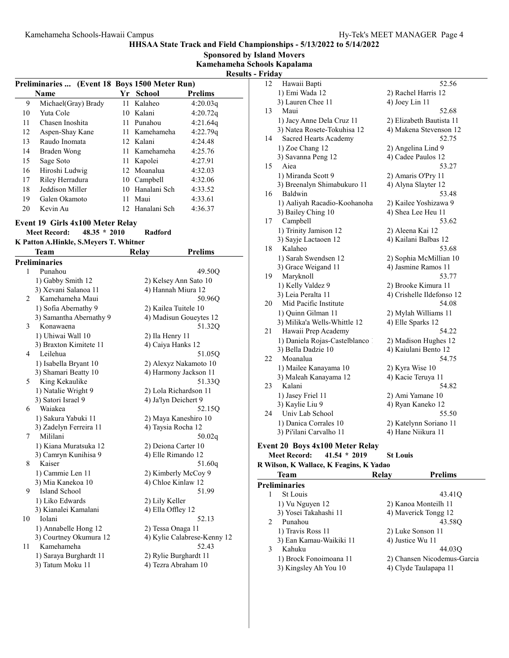Sponsored by Island Movers

Kamehameha Schools Kapalama Results - Friday

| - Results - Frigav |  |  |
|--------------------|--|--|
|                    |  |  |

|    |                                               |     |               |                | resu |
|----|-----------------------------------------------|-----|---------------|----------------|------|
|    | Preliminaries  (Event 18 Boys 1500 Meter Run) |     |               |                |      |
|    | Name                                          |     | Yr School     | <b>Prelims</b> |      |
| 9  | Michael(Gray) Brady                           |     | 11 Kalaheo    | 4:20.03q       |      |
| 10 | Yuta Cole                                     |     | 10 Kalani     | 4:20.72q       |      |
| 11 | Chasen Inoshita                               | 11. | Punahou       | 4:21.64q       |      |
| 12 | Aspen-Shay Kane                               |     | 11 Kamehameha | 4:22.79q       |      |
| 13 | Raudo Inomata                                 |     | 12 Kalani     | 4:24.48        |      |
| 14 | Braden Wong                                   |     | 11 Kamehameha | 4:25.76        |      |
| 15 | Sage Soto                                     |     | 11 Kapolei    | 4:27.91        |      |
| 16 | Hiroshi Ludwig                                |     | 12 Moanalua   | 4:32.03        |      |
| 17 | Riley Herradura                               |     | 10 Campbell   | 4:32.06        |      |
| 18 | Jeddison Miller                               | 10  | Hanalani Sch  | 4:33.52        |      |
| 19 | Galen Okamoto                                 | 11  | Maui          | 4:33.61        |      |
| 20 | Kevin Au                                      | 12. | Hanalani Sch  | 4:36.37        |      |

#### Event 19 Girls 4x100 Meter Relay

#### Meet Record: 48.35 \* 2010 Radford

| K Patton A.Hinkle, S.Meyers T. Whitner |
|----------------------------------------|
|----------------------------------------|

|    | Team                    | Relay          | <b>Prelims</b>              |
|----|-------------------------|----------------|-----------------------------|
|    | <b>Preliminaries</b>    |                |                             |
| 1  | Punahou                 |                | 49.50Q                      |
|    | 1) Gabby Smith 12       |                | 2) Kelsey Ann Sato 10       |
|    | 3) Xevani Salanoa 11    |                | 4) Hannah Miura 12          |
| 2  | Kamehameha Maui         |                | 50.96Q                      |
|    | 1) Sofia Abernathy 9    |                | 2) Kailea Tuitele 10        |
|    | 3) Samantha Abernathy 9 |                | 4) Madisun Goueytes 12      |
| 3  | Konawaena               |                | 51.32Q                      |
|    | 1) Uhiwai Wall 10       |                | 2) Ila Henry 11             |
|    | 3) Braxton Kimitete 11  |                | 4) Caiya Hanks 12           |
| 4  | Leilehua                |                | 51.05Q                      |
|    | 1) Isabella Bryant 10   |                | 2) Alexyz Nakamoto 10       |
|    | 3) Shamari Beatty 10    |                | 4) Harmony Jackson 11       |
| 5  | King Kekaulike          |                | 51.330                      |
|    | 1) Natalie Wright 9     |                | 2) Lola Richardson 11       |
|    | 3) Satori Israel 9      |                | 4) Ja'lyn Deichert 9        |
| 6  | Waiakea                 |                | 52.15Q                      |
|    | 1) Sakura Yabuki 11     |                | 2) Maya Kaneshiro 10        |
|    | 3) Zadelyn Ferreira 11  |                | 4) Taysia Rocha 12          |
| 7  | Mililani                |                | 50.02q                      |
|    | 1) Kiana Muratsuka 12   |                | 2) Deiona Carter 10         |
|    | 3) Camryn Kunihisa 9    |                | 4) Elle Rimando 12          |
| 8  | Kaiser                  |                | 51.60q                      |
|    | 1) Cammie Len 11        |                | 2) Kimberly McCoy 9         |
|    | 3) Mia Kanekoa 10       |                | 4) Chloe Kinlaw 12          |
| 9  | Island School           |                | 51.99                       |
|    | 1) Liko Edwards         | 2) Lily Keller |                             |
|    | 3) Kianalei Kamalani    |                | 4) Ella Offley 12           |
| 10 | Iolani                  |                | 52.13                       |
|    | 1) Annabelle Hong 12    |                | 2) Tessa Onaga 11           |
|    | 3) Courtney Okumura 12  |                | 4) Kylie Calabrese-Kenny 12 |
| 11 | Kamehameha              |                | 52.43                       |
|    | 1) Saraya Burghardt 11  |                | 2) Rylie Burghardt 11       |
|    | 3) Tatum Moku 11        |                | 4) Tezra Abraham 10         |

| r rua, |                                         |                           |
|--------|-----------------------------------------|---------------------------|
| 12     | Hawaii Bapti                            | 52.56                     |
|        | 1) Emi Wada 12                          | 2) Rachel Harris 12       |
|        | 3) Lauren Chee 11                       | 4) Joey Lin 11            |
| 13     | Maui                                    | 52.68                     |
|        | 1) Jacy Anne Dela Cruz 11               | 2) Elizabeth Bautista 11  |
|        | 3) Natea Rosete-Tokuhisa 12             | 4) Makena Stevenson 12    |
| 14     | Sacred Hearts Academy                   | 52.75                     |
|        | 1) Zoe Chang 12                         | 2) Angelina Lind 9        |
|        |                                         | 4) Cadee Paulos 12        |
| 15     | 3) Savanna Peng 12<br>Aiea              | 53.27                     |
|        |                                         |                           |
|        | 1) Miranda Scott 9                      | 2) Amaris O'Pry 11        |
|        | 3) Breenalyn Shimabukuro 11             | 4) Alyna Slayter 12       |
| 16     | Baldwin                                 | 53.48                     |
|        | 1) Aaliyah Racadio-Koohanoha            | 2) Kailee Yoshizawa 9     |
|        | 3) Bailey Ching 10                      | 4) Shea Lee Heu 11        |
| 17     | Campbell                                | 53.62                     |
|        | 1) Trinity Jamison 12                   | 2) Aleena Kai 12          |
|        | 3) Sayje Lactaoen 12                    | 4) Kailani Balbas 12      |
| 18     | Kalaheo                                 | 53.68                     |
|        | 1) Sarah Swendsen 12                    | 2) Sophia McMillian 10    |
|        | 3) Grace Weigand 11                     | 4) Jasmine Ramos 11       |
| 19     | Maryknoll                               | 53.77                     |
|        | 1) Kelly Valdez 9                       | 2) Brooke Kimura 11       |
|        | 3) Leia Peralta 11                      | 4) Crishelle Ildefonso 12 |
| 20     | Mid Pacific Institute                   | 54.08                     |
|        | 1) Quinn Gilman 11                      | 2) Mylah Williams 11      |
|        | 3) Milika'a Wells-Whittle 12            | 4) Elle Sparks 12         |
| 21     | Hawaii Prep Academy                     | 54.22                     |
|        | 1) Daniela Rojas-Castelblanco 1         | 2) Madison Hughes 12      |
|        | 3) Bella Dadzie 10                      | 4) Kaiulani Bento 12      |
| 22     | Moanalua                                | 54.75                     |
|        | 1) Mailee Kanayama 10                   | 2) Kyra Wise 10           |
|        | 3) Maleah Kanayama 12                   | 4) Kacie Teruya 11        |
| 23     | Kalani                                  | 54.82                     |
|        | 1) Jasey Friel 11                       | 2) Ami Yamane 10          |
|        | 3) Kaylie Liu 9                         | 4) Ryan Kaneko 12         |
| 24     | Univ Lab School                         | 55.50                     |
|        | 1) Danica Corrales 10                   | 2) Katelynn Soriano 11    |
|        | 3) Pi'ilani Carvalho 11                 | 4) Hane Niikura 11        |
|        |                                         |                           |
|        | Event 20 Boys 4x100 Meter Relay         |                           |
|        | $41.54 * 2019$<br><b>Meet Record:</b>   | <b>St Louis</b>           |
|        | R Wilson, K Wallace, K Feagins, K Yadao |                           |
|        | Team<br><b>Relay</b>                    | <b>Prelims</b>            |
|        | <b>Preliminaries</b>                    |                           |
| 1      | St Louis                                | 43.41Q                    |
|        | 1) Vu Nguyen 12                         | 2) Kanoa Monteilh 11      |
|        | 3) Yosei Takahashi 11                   | 4) Maverick Tongg 12      |
| 2      | Punahou                                 | 43.58Q                    |
|        | 1) Travis Ross 11                       | 2) Luke Sonson 11         |
|        | 3) Ean Kamau-Waikiki 11                 | 4) Justice Wu 11          |
| 3      | Kahuku                                  | 44.03O                    |

3) Kingsley Ah You 10

1) Brock Fonoimoana 11 2) Chansen Nicodemus-Garcia<br>3) Kingsley Ah You 10 4) Clyde Taulapapa 11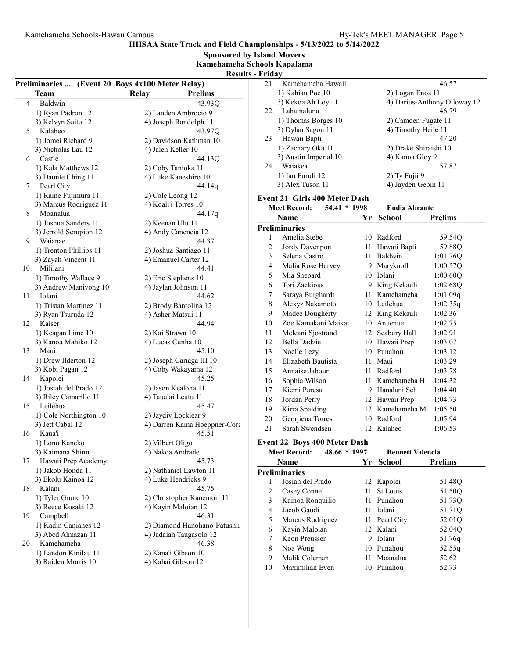HHSAA State Track and Field Championships - 5/13/2022 to 5/14/2022 Sponsored by Island Movers

|                |                                                  | Kamehameha Schools Kapalama  |                         |                               |              |                         |                              |
|----------------|--------------------------------------------------|------------------------------|-------------------------|-------------------------------|--------------|-------------------------|------------------------------|
|                |                                                  |                              | <b>Results - Friday</b> |                               |              |                         |                              |
|                | Preliminaries  (Event 20 Boys 4x100 Meter Relay) |                              | 21                      | Kamehameha Hawaii             |              |                         | 46.57                        |
|                | <b>Team</b>                                      | Relay<br><b>Prelims</b>      |                         | 1) Kahiau Poe 10              |              | 2) Logan Enos 11        |                              |
| $\overline{4}$ | Baldwin                                          | 43.93Q                       |                         | 3) Kekoa Ah Loy 11            |              |                         | 4) Darius-Anthony Olloway 12 |
|                | 1) Ryan Padron 12                                | 2) Landen Ambrocio 9         | 22                      | Lahainaluna                   |              |                         | 46.79                        |
|                | 3) Kelvyn Saito 12                               | 4) Joseph Randolph 11        |                         | 1) Thomas Borges 10           |              | 2) Camden Fugate 11     |                              |
| 5              | Kalaheo                                          | 43.97Q                       |                         | 3) Dylan Sagon 11             |              | 4) Timothy Heile 11     |                              |
|                | 1) Jomei Richard 9                               | 2) Davidson Kathman 10       | 23                      | Hawaii Bapti                  |              |                         | 47.20                        |
|                | 3) Nicholas Lau 12                               | 4) Jalen Keller 10           |                         | 1) Zachary Oka 11             |              | 2) Drake Shiraishi 10   |                              |
| 6              | Castle                                           | 44.13Q                       |                         | 3) Austin Imperial 10         |              | 4) Kanoa Gloy 9         |                              |
|                | 1) Kala Matthews 12                              | 2) Coby Tanioka 11           | 24                      | Waiakea                       |              |                         | 57.87                        |
|                | 3) Daunte Ching 11                               | 4) Luke Kaneshiro 10         |                         | 1) Ian Furuli 12              |              | 2) Ty Fujii 9           |                              |
| 7              | Pearl City                                       | 44.14g                       |                         | 3) Alex Tuson 11              |              | 4) Jayden Gebin 11      |                              |
|                | 1) Raine Fujimura 11                             | 2) Cole Leong 12             |                         | Event 21 Girls 400 Meter Dash |              |                         |                              |
|                | 3) Marcus Rodriguez 11                           | 4) Koali'i Torres 10         |                         | <b>Meet Record:</b>           | 54.41 * 1998 | <b>Endia Abrante</b>    |                              |
| 8              | Moanalua                                         | 44.17q                       |                         | <b>Name</b>                   |              | Yr School               | <b>Prelims</b>               |
|                | 1) Joshua Sanders 11                             | 2) Keenan Ulu 11             |                         |                               |              |                         |                              |
|                | 3) Jerrold Serupion 12                           | 4) Andy Canencia 12          |                         | <b>Preliminaries</b>          |              |                         |                              |
| 9              | Waianae                                          | 44.37                        | 1                       | Amelia Stebe                  |              | 10 Radford              | 59.54Q                       |
|                | 1) Trenton Phillips 11                           | 2) Joshua Santiago 11        | $\overline{c}$          | Jordy Davenport               |              | 11 Hawaii Bapti         | 59.88Q                       |
|                | 3) Zayah Vincent 11                              | 4) Emanuel Carter 12         | 3                       | Selena Castro                 |              | 11 Baldwin              | 1:01.76Q                     |
| 10             | Mililani                                         | 44.41                        | 4                       | Malia Rose Harvey             |              | 9 Maryknoll             | 1:00.57Q                     |
|                | 1) Timothy Wallace 9                             | 2) Eric Stephens 10          | 5                       | Mia Shepard                   |              | 10 Iolani               | 1:00.60Q                     |
|                | 3) Andrew Manivong 10                            | 4) Jaylan Johnson 11         | 6                       | Tori Zackious                 |              | 9 King Kekauli          | 1:02.68Q                     |
| 11             | Iolani                                           | 44.62                        | 7                       | Saraya Burghardt              |              | 11 Kamehameha           | 1:01.09q                     |
|                | 1) Tristan Martinez 11                           | 2) Brody Bantolina 12        | 8                       | Alexyz Nakamoto               |              | 10 Leilehua             | 1:02.35q                     |
|                | 3) Ryan Tsuruda 12                               | 4) Asher Matsui 11           | 9                       | Madee Dougherty               |              | 12 King Kekauli         | 1:02.36                      |
| 12             | Kaiser                                           | 44.94                        | 10                      | Zoe Kamakani Maikai           |              | 10 Anuenue              | 1:02.75                      |
|                | 1) Keagan Lime 10                                | 2) Kai Strawn 10             | 11                      | Meleani Sjostrand             |              | 12 Seabury Hall         | 1:02.91                      |
|                | 3) Kanoa Mahiko 12                               | 4) Lucas Cunha 10            | 12                      | Bella Dadzie                  |              | 10 Hawaii Prep          | 1:03.07                      |
| 13             | Maui                                             | 45.10                        | 13                      | Noelle Lezy                   |              | 10 Punahou              | 1:03.12                      |
|                | 1) Drew Ilderton 12                              | 2) Joseph Cariaga III 10     | 14                      | Elizabeth Bautista            |              | 11 Maui                 | 1:03.29                      |
|                | 3) Kobi Pagan 12                                 | 4) Coby Wakayama 12          | 15                      | Annaise Jabour                |              | 11 Radford              | 1:03.78                      |
| 14             | Kapolei                                          | 45.25                        | 16                      | Sophia Wilson                 |              | 11 Kamehameha H         | 1:04.32                      |
|                | 1) Josiah del Prado 12                           | 2) Jason Kealoha 11          | 17                      | Kiemi Paresa                  |              | 9 Hanalani Sch          | 1:04.40                      |
|                | 3) Riley Camarillo 11                            | 4) Taualai Leutu 11          | 18                      | Jordan Perry                  |              | 12 Hawaii Prep          | 1:04.73                      |
| 15             | Leilehua                                         | 45.47                        | 19                      | Kirra Spalding                |              | 12 Kamehameha M         | 1:05.50                      |
|                | 1) Cole Northington 10                           | 2) Jaydiv Locklear 9         | 20                      | Georjiena Torres              |              | 10 Radford              | 1:05.94                      |
|                | 3) Jett Cabal 12                                 | 4) Darren Kama Hoeppner-Cora | 21                      | Sarah Swendsen                |              | 12 Kalaheo              | 1:06.53                      |
|                | 16 Kaua'i                                        | 45.51                        |                         |                               |              |                         |                              |
|                | 1) Lono Kaneko                                   | 2) Vilbert Oligo             |                         | Event 22 Boys 400 Meter Dash  |              |                         |                              |
|                | 3) Kaimana Shinn                                 | 4) Nakoa Andrade             |                         | <b>Meet Record:</b>           | 48.66 * 1997 | <b>Bennett Valencia</b> |                              |
| 17             | Hawaii Prep Academy                              | 45.73                        |                         | Name                          |              | Yr School               | <b>Prelims</b>               |
|                | 1) Jakob Honda 11                                | 2) Nathaniel Lawton 11       |                         | <b>Preliminaries</b>          |              |                         |                              |
|                | 3) Ekolu Kainoa 12                               | 4) Luke Hendricks 9          | 1                       | Josiah del Prado              |              | 12 Kapolei              | 51.48Q                       |
| 18             | Kalani                                           | 45.75                        | 2                       | Casey Connel                  |              | 11 St Louis             | 51.50Q                       |
|                | 1) Tyler Grune 10                                | 2) Christopher Kanemori 11   | 3                       | Kainoa Ronquilio              |              | 11 Punahou              | 51.73Q                       |
|                | 3) Reece Kosaki 12                               | 4) Kayin Maloian 12          | 4                       | Jacob Gaudi                   |              | 11 Iolani               | 51.71Q                       |
| 19             | Campbell                                         | 46.31                        | 5                       | Marcus Rodriguez              |              | 11 Pearl City           | 52.01Q                       |
|                | 1) Kadin Canianes 12                             | 2) Diamond Hanohano-Patushii | 6                       | Kayin Maloian                 |              | 12 Kalani               | 52.04Q                       |
|                | 3) Abcd Almazan 11                               | 4) Jadaiah Taugasolo 12      | 7                       | Keon Preusser                 |              | 9 Iolani                | 51.76q                       |
| 20             | Kamehameha                                       | 46.38                        |                         |                               |              | 10 Punahou              |                              |
|                | 1) Landon Kinilau 11                             | 2) Kana'i Gibson 10          | 8                       | Noa Wong                      |              |                         | 52.55q                       |
|                | 3) Raiden Morris 10                              | 4) Kahai Gibson 12           | 9                       | Malik Coleman                 |              | 11 Moanalua             | 52.62                        |
|                |                                                  |                              | 10                      | Maximilian Even               |              | 10 Punahou              | 52.73                        |
|                |                                                  |                              |                         |                               |              |                         |                              |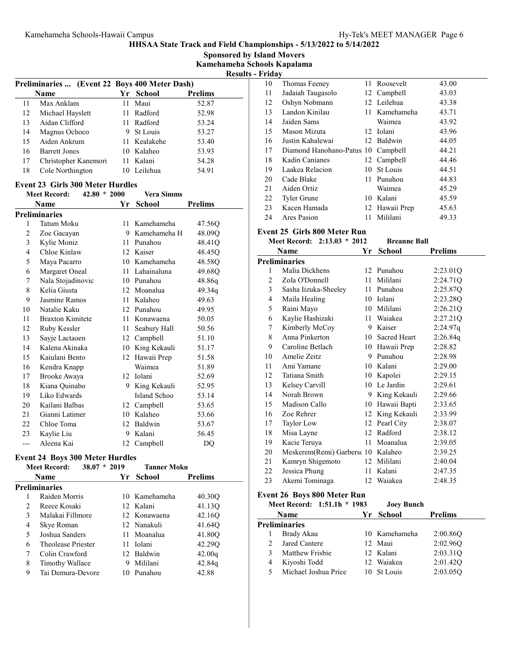Sponsored by Island Movers

Kamehameha Schools Kapalama Results - Friday

|    |                                               |    |              |                | . |
|----|-----------------------------------------------|----|--------------|----------------|---|
|    | Preliminaries  (Event 22 Boys 400 Meter Dash) |    |              |                |   |
|    | <b>Name</b>                                   |    | Yr School    | <b>Prelims</b> |   |
| 11 | Max Anklam                                    | 11 | Maui         | 52.87          |   |
| 12 | Michael Hayslett                              |    | 11 Radford   | 52.98          |   |
| 13 | Aidan Clifford                                |    | 11 Radford   | 53.24          |   |
| 14 | Magnus Ochoco                                 |    | 9 St Louis   | 53.27          |   |
| 15 | Aiden Ankrum                                  |    | 11 Kealakehe | 53.40          |   |
| 16 | <b>Barrett Jones</b>                          | 10 | Kalaheo      | 53.93          |   |
| 17 | Christopher Kanemori                          |    | 11 Kalani    | 54.28          |   |
| 18 | Cole Northington                              | 10 | Leilehua     | 54.91          |   |

# Event 23 Girls 300 Meter Hurdles<br>Meet Record:  $42.80 \times 2000$

|     | $42.80 * 2000$<br><b>Meet Record:</b> |    | <b>Vera Simms</b> |                |
|-----|---------------------------------------|----|-------------------|----------------|
|     | Name                                  | Yr | <b>School</b>     | <b>Prelims</b> |
|     | <b>Preliminaries</b>                  |    |                   |                |
| 1   | Tatum Moku                            | 11 | Kamehameha        | 47.56O         |
| 2   | Zoe Gacayan                           | 9  | Kamehameha H      | 48.09Q         |
| 3   | Kylie Moniz                           | 11 | Punahou           | 48.41Q         |
| 4   | Chloe Kinlaw                          | 12 | Kaiser            | 48.45O         |
| 5   | Maya Pacarro                          | 10 | Kamehameha        | 48.58Q         |
| 6   | Margaret Oneal                        | 11 | Lahainaluna       | 49.68Q         |
| 7   | Nala Stojadinovic                     | 10 | Punahou           | 48.86q         |
| 8   | Kelia Giusta                          | 12 | Moanalua          | 49.34g         |
| 9   | Jasmine Ramos                         | 11 | Kalaheo           | 49.63          |
| 10  | Natalie Kaku                          | 12 | Punahou           | 49.95          |
| 11  | <b>Braxton Kimitete</b>               | 11 | Konawaena         | 50.05          |
| 12  | Ruby Kessler                          | 11 | Seabury Hall      | 50.56          |
| 13  | Sayje Lactaoen                        | 12 | Campbell          | 51.10          |
| 14  | Kalena Akinaka                        | 10 | King Kekauli      | 51.17          |
| 15  | Kaiulani Bento                        | 12 | Hawaii Prep       | 51.58          |
| 16  | Kendra Knapp                          |    | Waimea            | 51.89          |
| 17  | Brooke Awaya                          | 12 | Iolani            | 52.69          |
| 18  | Kiana Quinabo                         | 9  | King Kekauli      | 52.95          |
| 19  | Liko Edwards                          |    | Island Schoo      | 53.14          |
| 20  | Kailani Balbas                        | 12 | Campbell          | 53.65          |
| 21  | Gianni Latimer                        | 10 | Kalaheo           | 53.66          |
| 22  | Chloe Toma                            | 12 | Baldwin           | 53.67          |
| 23  | Kaylie Liu                            | 9  | Kalani            | 56.45          |
| --- | Aleena Kai                            | 12 | Campbell          | DQ             |

# Event 24 Boys 300 Meter Hurdles

|               | <b>Meet Record:</b><br>$38.07 * 2019$ |    | <b>Tanner Moku</b> |                |
|---------------|---------------------------------------|----|--------------------|----------------|
|               | <b>Name</b>                           |    | Yr School          | <b>Prelims</b> |
|               | <b>Preliminaries</b>                  |    |                    |                |
|               | Raiden Morris                         |    | 10 Kamehameha      | 40.30Q         |
| $\mathcal{L}$ | Reece Kosaki                          |    | 12 Kalani          | 41.13Q         |
| 3             | Malakai Fillmore                      |    | 12 Konawaena       | 42.16Q         |
| 4             | Skye Roman                            |    | 12 Nanakuli        | 41.64Q         |
| 5             | Joshua Sanders                        |    | 11 Moanalua        | 41.80Q         |
| 6             | Theolease Priester                    |    | 11 Iolani          | 42.29Q         |
| 7             | Colin Crawford                        |    | 12 Baldwin         | 42.00q         |
| 8             | Timothy Wallace                       |    | Mililani           | 42.84q         |
| 9             | Tai Demura-Devore                     | 10 | Punahou            | 42.88          |

| r <b>i lua v</b> |                                    |     |                |       |
|------------------|------------------------------------|-----|----------------|-------|
| 10               | Thomas Feeney                      |     | 11 Roosevelt   | 43.00 |
| 11               | Jadaiah Taugasolo                  |     | 12 Campbell    | 43.03 |
| 12               | Oshyn Nobmann                      |     | 12 Leilehua    | 43.38 |
| 13               | Landon Kinilau                     |     | 11 Kamehameha  | 43.71 |
| 14               | Jaiden Sams                        |     | Waimea         | 43.92 |
| 15               | Mason Mizuta                       |     | 12 Iolani      | 43.96 |
| 16               | Justin Kahalewai                   |     | 12 Baldwin     | 44.05 |
| 17               | Diamond Hanohano-Patus 10 Campbell |     |                | 44.21 |
| 18               | Kadin Canianes                     |     | 12 Campbell    | 44.46 |
| 19               | Laakea Relacion                    |     | 10 St Louis    | 44.51 |
| 20               | Cade Blake                         | 11. | Punahou        | 44.83 |
| 21               | Aiden Ortiz                        |     | Waimea         | 45.29 |
| 22               | <b>Tyler Grune</b>                 | 10  | Kalani         | 45.59 |
| 23               | Kacen Hamada                       |     | 12 Hawaii Prep | 45.63 |
| 24               | Ares Pasion                        | 11  | Mililani       | 49.33 |
|                  |                                    |     |                |       |

# Event 25 Girls 800 Meter Run

|    | Meet Record: 2:13.03 * 2012         |    | <b>Breanne Ball</b> |                |
|----|-------------------------------------|----|---------------------|----------------|
|    | Name                                | Yr | <b>School</b>       | <b>Prelims</b> |
|    | Preliminaries                       |    |                     |                |
| 1  | Malia Dickhens                      |    | 12 Punahou          | 2:23.01Q       |
| 2  | Zola O'Donnell                      | 11 | Mililani            | 2:24.71Q       |
| 3  | Sasha Iizuka-Sheeley                | 11 | Punahou             | 2:25.87Q       |
| 4  | Maila Healing                       |    | 10 Iolani           | 2:23.28Q       |
| 5  | Raini Mayo                          | 10 | Mililani            | 2:26.21Q       |
| 6  | Kaylie Hashizaki                    | 11 | Waiakea             | 2:27.21Q       |
| 7  | Kimberly McCoy                      |    | 9 Kaiser            | 2:24.97q       |
| 8  | Anna Pinkerton                      | 10 | <b>Sacred Heart</b> | 2:26.84q       |
| 9  | Caroline Betlach                    |    | 10 Hawaii Prep      | 2:28.82        |
| 10 | Amelie Zeitz                        | 9  | Punahou             | 2:28.98        |
| 11 | Ami Yamane                          |    | 10 Kalani           | 2:29.00        |
| 12 | Tatiana Smith                       |    | 10 Kapolei          | 2:29.15        |
| 13 | Kelsey Carvill                      |    | 10 Le Jardin        | 2:29.61        |
| 14 | Norah Brown                         |    | 9 King Kekauli      | 2:29.66        |
| 15 | Madison Callo                       | 10 | Hawaii Bapti        | 2:33.65        |
| 16 | Zoe Rehrer                          | 12 | King Kekauli        | 2:33.99        |
| 17 | Taylor Low                          | 12 | Pearl City          | 2:38.07        |
| 18 | Misa Layne                          |    | 12 Radford          | 2:38.12        |
| 19 | Kacie Teruya                        | 11 | Moanalua            | 2:39.05        |
| 20 | Meskerem (Remi) Garbersc 10 Kalaheo |    |                     | 2:39.25        |
| 21 | Kamryn Shigemoto                    |    | 12 Mililani         | 2:40.04        |
| 22 | Jessica Phung                       | 11 | Kalani              | 2:47.35        |
| 23 | Akemi Tominaga                      |    | 12 Waiakea          | 2:48.35        |

# Event 26 Boys 800 Meter Run

|   | Meet Record: 1:51.1h * 1983 | <b>Joey Bunch</b> |                |
|---|-----------------------------|-------------------|----------------|
|   | <b>Name</b>                 | Yr School         | <b>Prelims</b> |
|   | Preliminaries               |                   |                |
|   | Brady Akau                  | 10 Kamehameha     | 2:00.86Q       |
|   | Jared Cantere               | 12 Maui           | 2:02.960       |
|   | Matthew Frisbie             | 12 Kalani         | 2:03.31Q       |
| 4 | Kiyoshi Todd                | 12 Waiakea        | 2:01.42Q       |
|   | Michael Joshua Price        | 10 St Louis       | 2:03.05O       |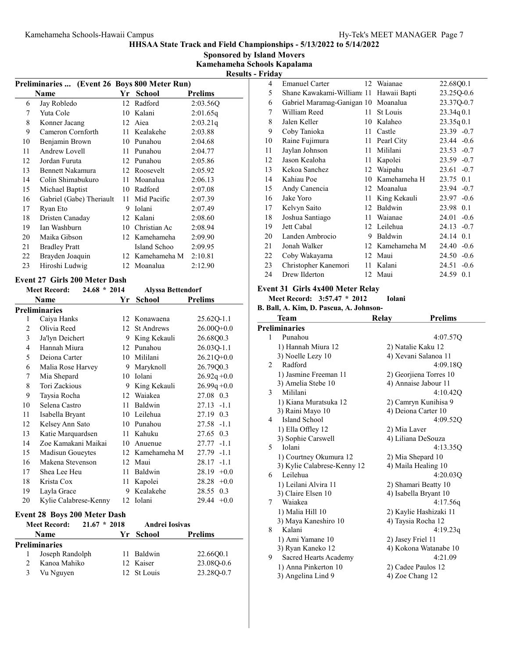Sponsored by Island Movers Kamehameha Schools Kapalama

| renamena senovis raapa  |  |
|-------------------------|--|
| <b>Results - Friday</b> |  |

|                | <b>Preliminaries</b>                  |                 | (Event 26 Boys 800 Meter Run) |                                 |
|----------------|---------------------------------------|-----------------|-------------------------------|---------------------------------|
|                | <b>Name</b>                           |                 | Yr School                     | <b>Prelims</b>                  |
| 6              | Jay Robledo                           | 12 <sup>1</sup> | Radford                       | 2:03.56Q                        |
| 7              | Yuta Cole                             |                 | 10 Kalani                     | 2:01.65q                        |
| 8              | Konner Jacang                         |                 | 12 Aiea                       | 2:03.21q                        |
| 9              | Cameron Cornforth                     | $11 -$          | Kealakehe                     | 2:03.88                         |
| 10             | Benjamin Brown                        |                 | 10 Punahou                    | 2:04.68                         |
| 11             | Andrew Lovell                         |                 | 11 Punahou                    | 2:04.77                         |
| 12             | Jordan Furuta                         |                 | 12 Punahou                    | 2:05.86                         |
| 13             | <b>Bennett Nakamura</b>               |                 | 12 Roosevelt                  | 2:05.92                         |
| 14             | Colin Shimabukuro                     |                 | 11 Moanalua                   | 2:06.13                         |
| 15             | Michael Baptist                       |                 | 10 Radford                    | 2:07.08                         |
| 16             | Gabriel (Gabe) Theriault              | 11              | Mid Pacific                   | 2:07.39                         |
| 17             | Ryan Eto                              |                 | 9 Iolani                      | 2:07.49                         |
| 18             | Dristen Canaday                       |                 | 12 Kalani                     | 2:08.60                         |
| 19             | Ian Washburn                          |                 | 10 Christian Ac               | 2:08.94                         |
| 20             | Maika Gibson                          |                 | 12 Kamehameha                 | 2:09.90                         |
| 21             | <b>Bradley Pratt</b>                  |                 | Island Schoo                  | 2:09.95                         |
| 22             | Brayden Joaquin                       | 12              | Kamehameha M                  | 2:10.81                         |
| 23             | Hiroshi Ludwig                        |                 | 12 Moanalua                   | 2:12.90                         |
|                | <b>Event 27 Girls 200 Meter Dash</b>  |                 |                               |                                 |
|                | $24.68 * 2014$<br><b>Meet Record:</b> |                 | <b>Alyssa Bettendorf</b>      |                                 |
|                | <b>Name</b>                           | Yr              | <b>School</b>                 | <b>Prelims</b>                  |
|                | <b>Preliminaries</b>                  |                 |                               |                                 |
| 1              | Caiya Hanks                           |                 | 12 Konawaena                  | 25.62Q-1.1                      |
| $\overline{2}$ | Olivia Reed                           | 12              | <b>St Andrews</b>             | $26.00Q+0.0$                    |
| 3              | Ja'lyn Deichert                       | 9               | King Kekauli                  | 26.68Q0.3                       |
| 4              | Hannah Miura                          |                 |                               |                                 |
|                |                                       |                 | 12 Punahou                    | 26.03Q-1.1                      |
| 5              | Deiona Carter                         |                 | 10 Mililani                   | 26.21Q+0.0                      |
| 6              | Malia Rose Harvey                     | 9.              | Maryknoll                     | 26.79Q0.3                       |
| 7              | Mia Shepard                           |                 | 10 Iolani                     | $26.92q + 0.0$                  |
| 8              | Tori Zackious                         |                 | 9 King Kekauli                | $26.99q + 0.0$                  |
| 9              | Taysia Rocha                          |                 | 12 Waiakea                    | 27.08 0.3                       |
| 10             | Selena Castro                         |                 | 11 Baldwin                    | 27.13 -1.1                      |
| 11             | Isabella Bryant                       |                 | 10 Leilehua                   | 27.19 0.3                       |
| 12             | Kelsey Ann Sato                       |                 | 10 Punahou                    | 27.58 -1.1                      |
| 13             | Katie Marquardsen                     |                 | 11 Kahuku                     | 27.65 0.3                       |
| 14             | Zoe Kamakani Maikai                   |                 | 10 Anuenue                    | $27.77 - 1.1$                   |
| 15             | Madisun Goueytes                      |                 | 12 Kamehameha M               | 27.79 -1.1                      |
| 16             | Makena Stevenson                      |                 | 12 Maui                       | $28.17 - 1.1$                   |
| 17             | Shea Lee Heu                          |                 | 11 Baldwin                    | $28.19 + 0.0$                   |
| 18             | Krista Cox                            | 11              | Kapolei                       | $28.28 +0.0$                    |
| 19<br>20       | Layla Grace<br>Kylie Calabrese-Kenny  |                 | 9 Kealakehe<br>12 Iolani      | 28.55<br>0.3<br>29.44<br>$+0.0$ |

#### Event 28 Boys 200 Meter Dash

|  | $L$ , cht $\equiv 0$ Do, $\frac{1}{2}$ $\equiv 0$ . There is non- |                |                |                |  |
|--|-------------------------------------------------------------------|----------------|----------------|----------------|--|
|  | <b>Meet Record:</b>                                               | $21.67 * 2018$ | Andrei Iosivas |                |  |
|  | <b>Name</b>                                                       |                | Yr School      | <b>Prelims</b> |  |
|  | Preliminaries                                                     |                |                |                |  |
|  | Joseph Randolph                                                   |                | 11 Baldwin     | 22.6600.1      |  |
|  | Kanoa Mahiko                                                      |                | 12 Kaiser      | 23.080-0.6     |  |
|  | Vu Nguyen                                                         |                | 12 St Louis    | 23.280-0.7     |  |

| 4  | <b>Emanuel Carter</b>               |    | 12 Waianae   | 22.68Q0.1       |
|----|-------------------------------------|----|--------------|-----------------|
| 5  | Shane Kawakami-William: 11          |    | Hawaii Bapti | 23.25Q-0.6      |
| 6  | Gabriel Maramag-Ganigan 10 Moanalua |    |              | 23.37Q-0.7      |
| 7  | William Reed                        | 11 | St Louis     | 23.34q0.1       |
| 8  | Jalen Keller                        | 10 | Kalaheo      | 23.35q0.1       |
| 9  | Coby Tanioka                        | 11 | Castle       | $23.39 -0.7$    |
| 10 | Raine Fujimura                      | 11 | Pearl City   | $23.44 - 0.6$   |
| 11 | Jaylan Johnson                      | 11 | Mililani     | $23.53 - 0.7$   |
| 12 | Jason Kealoha                       | 11 | Kapolei      | $-0.7$<br>23.59 |
| 13 | Kekoa Sanchez                       | 12 | Waipahu      | 23.61<br>$-0.7$ |
| 14 | Kahiau Poe                          | 10 | Kamehameha H | 23.75 0.1       |
| 15 | Andy Canencia                       | 12 | Moanalua     | 23.94<br>$-0.7$ |
| 16 | Jake Yoro                           | 11 | King Kekauli | $-0.6$<br>23.97 |
| 17 | Kelvyn Saito                        | 12 | Baldwin      | 0.1<br>23.98    |
| 18 | Joshua Santiago                     | 11 | Waianae      | 24.01<br>$-0.6$ |
| 19 | Jett Cabal                          |    | 12 Leilehua  | 24.13<br>$-0.7$ |
| 20 | Landen Ambrocio                     | 9  | Baldwin      | 24.14<br>0.1    |
| 21 | Jonah Walker                        | 12 | Kamehameha M | 24.40<br>$-0.6$ |
| 22 | Coby Wakayama                       | 12 | Maui         | $-0.6$<br>24.50 |
| 23 | Christopher Kanemori                | 11 | Kalani       | $-0.6$<br>24.51 |
| 24 | Drew Ilderton                       |    | 12 Maui      | 24.59<br>0.1    |

# Event 31 Girls 4x400 Meter Relay

Meet Record: 3:57.47 \* Iolani 2012

B. Ball, A. Kim, D. Pascua, A. Johnson-

|                | Team                        | Relay        | <b>Prelims</b>         |
|----------------|-----------------------------|--------------|------------------------|
|                | <b>Preliminaries</b>        |              |                        |
| 1              | Punahou                     |              | 4:07.57Q               |
|                | 1) Hannah Miura 12          |              | 2) Natalie Kaku 12     |
|                | 3) Noelle Lezy 10           |              | 4) Xevani Salanoa 11   |
| $\mathfrak{D}$ | Radford                     |              | 4:09.18O               |
|                | 1) Jasmine Freeman 11       |              | 2) Georjiena Torres 10 |
|                | 3) Amelia Stebe 10          |              | 4) Annaise Jabour 11   |
| 3              | Mililani                    |              | 4:10.42Q               |
|                | 1) Kiana Muratsuka 12       |              | 2) Camryn Kunihisa 9   |
|                | 3) Raini Mayo 10            |              | 4) Deiona Carter 10    |
| 4              | Island School               |              | 4:09.52Q               |
|                | 1) Ella Offley 12           | 2) Mia Laver |                        |
|                | 3) Sophie Carswell          |              | 4) Liliana DeSouza     |
| 5              | Iolani                      |              | 4:13.35Q               |
|                | 1) Courtney Okumura 12      |              | 2) Mia Shepard 10      |
|                | 3) Kylie Calabrese-Kenny 12 |              | 4) Maila Healing 10    |
| 6              | Leilehua                    |              | 4:20.03Q               |
|                | 1) Leilani Alvira 11        |              | 2) Shamari Beatty 10   |
|                | 3) Claire Elsen 10          |              | 4) Isabella Bryant 10  |
| 7              | Waiakea                     |              | 4:17.56q               |
|                | 1) Malia Hill 10            |              | 2) Kaylie Hashizaki 11 |
|                | 3) Maya Kaneshiro 10        |              | 4) Taysia Rocha 12     |
| 8              | Kalani                      |              | 4:19.23q               |
|                | 1) Ami Yamane 10            |              | 2) Jasey Friel 11      |
|                | 3) Ryan Kaneko 12           |              | 4) Kokona Watanabe 10  |
| 9              | Sacred Hearts Academy       |              | 4:21.09                |
|                | 1) Anna Pinkerton 10        |              | 2) Cadee Paulos 12     |
|                | 3) Angelina Lind 9          |              | 4) Zoe Chang 12        |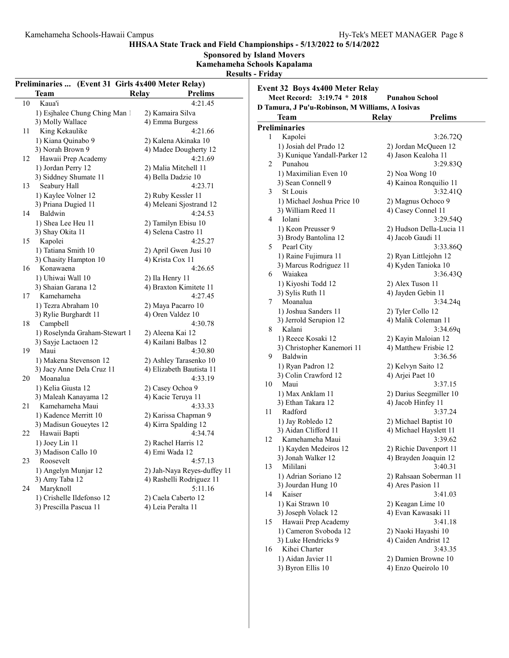3) Luke Hendricks 9 4) Caiden Andrist 12 2) Luke Hendricks 9<br>
16 Kihei Charter 3:43.35<br>
16 Andrist 12<br>
16 Aidan Javier 11<br>
2) Damien Browne 10 1) Aidan Javier 11 2) Damien Browne 10<br>3) Byron Ellis 10 4) Enzo Queirolo 10

4) Enzo Queirolo 10

HHSAA State Track and Field Championships - 5/13/2022 to 5/14/2022

Sponsored by Island Movers

Kamehameha Schools Kapalama  $R_{\rm B}$  -  $\sim$   $\sim$ 

| - Kesults - Fridav |  |  |
|--------------------|--|--|
|                    |  |  |

|             | Preliminaries  (Event 31 Girls 4x400 Meter Relay) |                             | Event 32 Boys 4x400 Meter Relay                  |                                |
|-------------|---------------------------------------------------|-----------------------------|--------------------------------------------------|--------------------------------|
| <b>Team</b> |                                                   | Relay<br><b>Prelims</b>     | Meet Record: 3:19.74 * 2018                      | <b>Punahou School</b>          |
| 10          | Kaua'i                                            | 4:21.45                     | D Tamura, J Pu'u-Robinson, M Williams, A Iosivas |                                |
|             | 1) Esjhalee Chung Ching Man 1                     | 2) Kamaira Silva            |                                                  |                                |
|             | 3) Molly Wallace                                  | 4) Emma Burgess             | <b>Team</b>                                      | <b>Relay</b><br><b>Prelims</b> |
| 11          | King Kekaulike                                    | 4:21.66                     | <b>Preliminaries</b>                             |                                |
|             | 1) Kiana Quinabo 9                                | 2) Kalena Akinaka 10        | Kapolei<br>1                                     | 3:26.72Q                       |
|             | 3) Norah Brown 9                                  | 4) Madee Dougherty 12       | 1) Josiah del Prado 12                           | 2) Jordan McQueen 12           |
| 12          | Hawaii Prep Academy                               | 4:21.69                     | 3) Kunique Yandall-Parker 12                     | 4) Jason Kealoha 11            |
|             | 1) Jordan Perry 12                                | 2) Malia Mitchell 11        | Punahou<br>$\overline{2}$                        | 3:29.83Q                       |
|             | 3) Siddney Shumate 11                             | 4) Bella Dadzie 10          | 1) Maximilian Even 10                            | 2) Noa Wong 10                 |
| 13          | Seabury Hall                                      | 4:23.71                     | 3) Sean Connell 9                                | 4) Kainoa Ronquilio 11         |
|             | 1) Kaylee Volner 12                               | 2) Ruby Kessler 11          | 3<br>St Louis                                    | 3:32.41Q                       |
|             | 3) Priana Dugied 11                               | 4) Meleani Sjostrand 12     | 1) Michael Joshua Price 10                       | 2) Magnus Ochoco 9             |
|             | Baldwin                                           | 4:24.53                     | 3) William Reed 11                               | 4) Casey Connel 11             |
| 14          |                                                   |                             | Iolani<br>4                                      | 3:29.54Q                       |
|             | 1) Shea Lee Heu 11                                | 2) Tamilyn Ebisu 10         | 1) Keon Preusser 9                               | 2) Hudson Della-Lucia 11       |
|             | 3) Shay Okita 11                                  | 4) Selena Castro 11         | 3) Brody Bantolina 12                            | 4) Jacob Gaudi 11              |
| 15          | Kapolei                                           | 4:25.27                     | Pearl City<br>5                                  | 3:33.86Q                       |
|             | 1) Tatiana Smith 10                               | 2) April Gwen Jusi 10       | 1) Raine Fujimura 11                             |                                |
|             | 3) Chasity Hampton 10                             | 4) Krista Cox 11            |                                                  | 2) Ryan Littlejohn 12          |
| 16          | Konawaena                                         | 4:26.65                     | 3) Marcus Rodriguez 11                           | 4) Kyden Tanioka 10            |
|             | 1) Uhiwai Wall 10                                 | 2) Ila Henry 11             | Waiakea<br>6                                     | 3:36.43Q                       |
|             | 3) Shaian Garana 12                               | 4) Braxton Kimitete 11      | 1) Kiyoshi Todd 12                               | 2) Alex Tuson 11               |
| 17          | Kamehameha                                        | 4:27.45                     | 3) Sylis Ruth 11                                 | 4) Jayden Gebin 11             |
|             | 1) Tezra Abraham 10                               | 2) Maya Pacarro 10          | Moanalua<br>7                                    | 3:34.24q                       |
|             | 3) Rylie Burghardt 11                             | 4) Oren Valdez 10           | 1) Joshua Sanders 11                             | 2) Tyler Collo 12              |
| 18          | Campbell                                          | 4:30.78                     | 3) Jerrold Serupion 12                           | 4) Malik Coleman 11            |
|             | 1) Roselynda Graham-Stewart 1                     | 2) Aleena Kai 12            | 8<br>Kalani                                      | 3:34.69q                       |
|             | 3) Sayje Lactaoen 12                              | 4) Kailani Balbas 12        | 1) Reece Kosaki 12                               | 2) Kayin Maloian 12            |
| 19          | Maui                                              | 4:30.80                     | 3) Christopher Kanemori 11                       | 4) Matthew Frisbie 12          |
|             | 1) Makena Stevenson 12                            | 2) Ashley Tarasenko 10      | Baldwin<br>9                                     | 3:36.56                        |
|             |                                                   |                             | 1) Ryan Padron 12                                | 2) Kelvyn Saito 12             |
|             | 3) Jacy Anne Dela Cruz 11                         | 4) Elizabeth Bautista 11    | 3) Colin Crawford 12                             | 4) Arjei Paet 10               |
| 20          | Moanalua                                          | 4:33.19                     | Maui<br>10                                       | 3:37.15                        |
|             | 1) Kelia Giusta 12                                | 2) Casey Ochoa 9            | 1) Max Anklam 11                                 | 2) Darius Seegmiller 10        |
|             | 3) Maleah Kanayama 12                             | 4) Kacie Teruya 11          | 3) Ethan Takara 12                               | 4) Jacob Hinfey 11             |
| 21          | Kamehameha Maui                                   | 4:33.33                     | Radford<br>11                                    | 3:37.24                        |
|             | 1) Kadence Merritt 10                             | 2) Karissa Chapman 9        | 1) Jay Robledo 12                                | 2) Michael Baptist 10          |
|             | 3) Madisun Goueytes 12                            | 4) Kirra Spalding 12        | 3) Aidan Clifford 11                             | 4) Michael Hayslett 11         |
| 22          | Hawaii Bapti                                      | 4:34.74                     | Kamehameha Maui                                  | 3:39.62                        |
|             | 1) Joey Lin 11                                    | 2) Rachel Harris 12         | 12                                               |                                |
|             | 3) Madison Callo 10                               | 4) Emi Wada 12              | 1) Kayden Medeiros 12                            | 2) Richie Davenport 11         |
| 23          | Roosevelt                                         | 4:57.13                     | 3) Jonah Walker 12                               | 4) Brayden Joaquin 12          |
|             | 1) Angelyn Munjar 12                              | 2) Jah-Naya Reyes-duffey 11 | Mililani<br>13                                   | 3:40.31                        |
|             | 3) Amy Taba 12                                    | 4) Rashelli Rodriguez 11    | 1) Adrian Soriano 12                             | 2) Rahsaan Soberman 11         |
| 24          | Maryknoll                                         | 5:11.16                     | 3) Jourdan Hung 10                               | 4) Ares Pasion 11              |
|             | 1) Crishelle Ildefonso 12                         | 2) Caela Caberto 12         | Kaiser<br>14                                     | 3:41.03                        |
|             | 3) Prescilla Pascua 11                            | 4) Leia Peralta 11          | 1) Kai Strawn 10                                 | 2) Keagan Lime 10              |
|             |                                                   |                             | 3) Joseph Volack 12                              | 4) Evan Kawasaki 11            |
|             |                                                   |                             | Hawaii Prep Academy<br>15                        | 3:41.18                        |
|             |                                                   |                             | 1) Cameron Svoboda 12                            | 2) Naoki Hayashi 10            |